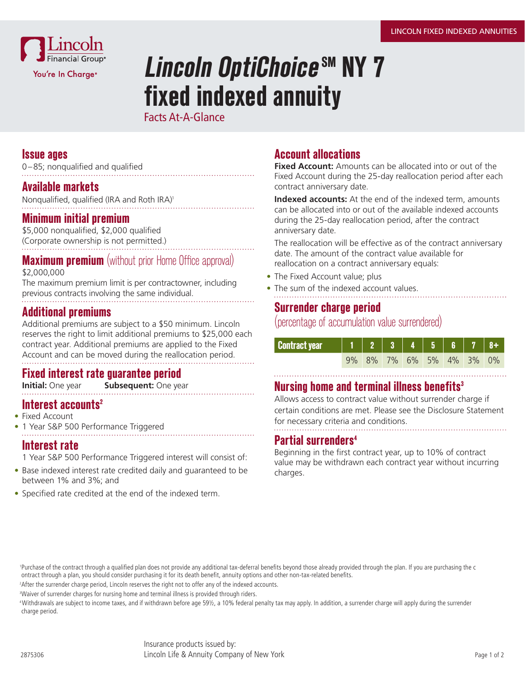

# **Lincoln OptiChoice SM NY 7 fixed indexed annuity**

Facts At-A-Glance

#### **Issue ages**

0–85; nonqualified and qualified

#### **Available markets**

Nonqualified, qualified (IRA and Roth IRA)<sup>1</sup>

#### **Minimum initial premium**

\$5,000 nonqualified, \$2,000 qualified (Corporate ownership is not permitted.)

### **Maximum premium** (without prior Home Office approval)

\$2,000,000

The maximum premium limit is per contractowner, including previous contracts involving the same individual.

#### **Additional premiums**

Additional premiums are subject to a \$50 minimum. Lincoln reserves the right to limit additional premiums to \$25,000 each contract year. Additional premiums are applied to the Fixed Account and can be moved during the reallocation period.

# **Fixed interest rate guarantee period**

**Subsequent:** One year

#### **Interest accounts<sup>2</sup>**

- Fixed Account
- 1 Year S&P 500 Performance Triggered

#### **Interest rate**

1 Year S&P 500 Performance Triggered interest will consist of:

- Base indexed interest rate credited daily and guaranteed to be between 1% and 3%; and
- Specified rate credited at the end of the indexed term.

### **Account allocations**

**Fixed Account:** Amounts can be allocated into or out of the Fixed Account during the 25-day reallocation period after each contract anniversary date.

**Indexed accounts:** At the end of the indexed term, amounts can be allocated into or out of the available indexed accounts during the 25-day reallocation period, after the contract anniversary date.

The reallocation will be effective as of the contract anniversary date. The amount of the contract value available for reallocation on a contract anniversary equals:

- The Fixed Account value; plus
- The sum of the indexed account values.

#### **Surrender charge period**

(percentage of accumulation value surrendered)

| <b>Contract year</b> |  |  |  | $1 2 3 4 5 6 7 8+$      |  |
|----------------------|--|--|--|-------------------------|--|
|                      |  |  |  | 9% 8% 7% 6% 5% 4% 3% 0% |  |

#### **Nursing home and terminal illness benefits3**

Allows access to contract value without surrender charge if certain conditions are met. Please see the Disclosure Statement for necessary criteria and conditions.

#### **Partial surrenders4**

Beginning in the first contract year, up to 10% of contract value may be withdrawn each contract year without incurring charges.

 1Purchase of the contract through a qualified plan does not provide any additional tax-deferral benefits beyond those already provided through the plan. If you are purchasing the c ontract through a plan, you should consider purchasing it for its death benefit, annuity options and other non-tax-related benefits.

<sup>2</sup>After the surrender charge period, Lincoln reserves the right not to offer any of the indexed accounts.

<sup>3</sup>Waiver of surrender charges for nursing home and terminal illness is provided through riders.

 4 Withdrawals are subject to income taxes, and if withdrawn before age 59½, a 10% federal penalty tax may apply. In addition, a surrender charge will apply during the surrender charge period.